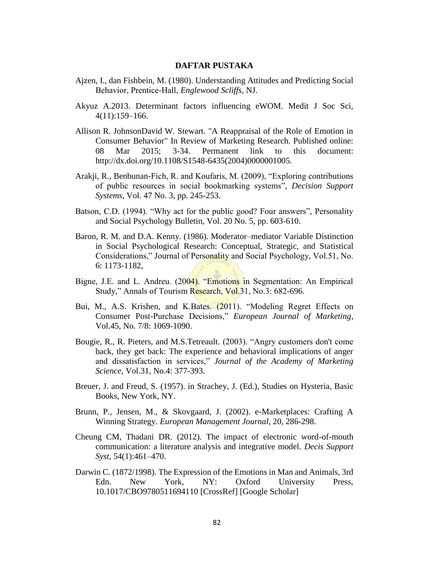## **DAFTAR PUSTAKA**

- Ajzen, I., dan Fishbein, M. (1980). Understanding Attitudes and Predicting Social Behavior, Prentice‐Hall, *Englewood Scliffs*, NJ.
- Akyuz A.2013. Determinant factors influencing eWOM. Medit J Soc Sci, 4(11):159–166.
- Allison R. JohnsonDavid W. Stewart. "A Reappraisal of the Role of Emotion in Consumer Behavior" In Review of Marketing Research. Published online: 08 Mar 2015; 3-34. Permanent link to this document: http://dx.doi.org/10.1108/S1548-6435(2004)0000001005.
- Arakji, R., Benbunan-Fich, R. and Koufaris, M. (2009), "Exploring contributions of public resources in social bookmarking systems", *Decision Support Systems*, Vol. 47 No. 3, pp. 245-253.
- Batson, C.D. (1994). "Why act for the public good? Four answers", Personality and Social Psychology Bulletin, Vol. 20 No. 5, pp. 603-610.
- Baron, R. M. and D.A. Kenny. (1986). Moderator–mediator Variable Distinction in Social Psychological Research: Conceptual, Strategic, and Statistical Considerations," Journal of Personality and Social Psychology, Vol.51, No. 6: 1173-1182,
- Bigne, J.E. and L. Andreu. (2004). "Emotions in Segmentation: An Empirical Study," Annals of Tourism Research, Vol.31, No.3: 682-696.
- Bui, M., A.S. Krishen, and K.Bates. (2011). "Modeling Regret Effects on Consumer Post-Purchase Decisions," *European Journal of Marketing*, Vol.45, No. 7/8: 1069-1090.
- Bougie, R., R. Pieters, and M.S.Tetreault. (2003). "Angry customers don't come back, they get back: The experience and behavioral implications of anger and dissatisfaction in services," *Journal of the Academy of Marketing Science*, Vol.31, No.4: 377-393.
- Breuer, J. and Freud, S. (1957). in Strachey, J. (Ed.), Studies on Hysteria, Basic Books, New York, NY.
- Brunn, P., Jensen, M., & Skovgaard, J. (2002). e-Marketplaces: Crafting A Winning Strategy. *European Management Journal*, 20, 286-298.
- Cheung CM, Thadani DR. (2012). The impact of electronic word-of-mouth communication: a literature analysis and integrative model. *Decis Support Syst*, 54(1):461–470.
- Darwin C. (1872/1998). The Expression of the Emotions in Man and Animals, 3rd Edn. New York, NY: Oxford University Press, 10.1017/CBO9780511694110 [CrossRef] [Google Scholar]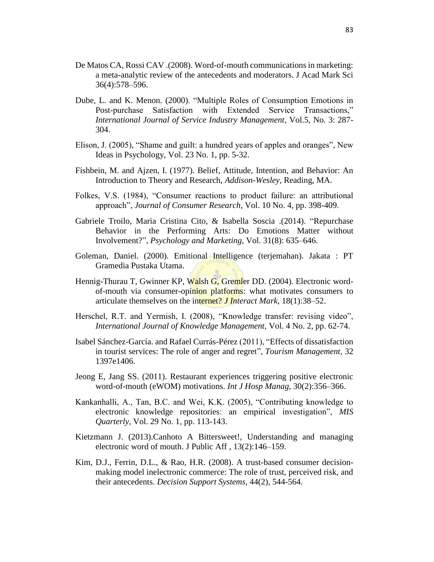- De Matos CA, Rossi CAV .(2008). Word-of-mouth communications in marketing: a meta-analytic review of the antecedents and moderators. J Acad Mark Sci 36(4):578–596.
- Dube, L. and K. Menon. (2000). "Multiple Roles of Consumption Emotions in Post-purchase Satisfaction with Extended Service Transactions," *International Journal of Service Industry Management*, Vol.5, No. 3: 287- 304.
- Elison, J. (2005), "Shame and guilt: a hundred years of apples and oranges", New Ideas in Psychology, Vol. 23 No. 1, pp. 5-32.
- Fishbein, M. and Ajzen, I. (1977). Belief, Attitude, Intention, and Behavior: An Introduction to Theory and Research, *Addison-Wesley,* Reading, MA.
- Folkes, V.S. (1984), "Consumer reactions to product failure: an attributional approach", *Journal of Consumer Research*, Vol. 10 No. 4, pp. 398-409.
- Gabriele Troilo, Maria Cristina Cito, & Isabella Soscia .(2014). "Repurchase Behavior in the Performing Arts: Do Emotions Matter without Involvement?", *Psychology and Marketing*, Vol. 31(8): 635–646.
- Goleman, Daniel. (2000). Emitional Intelligence (terjemahan). Jakata : PT Gramedia Pustaka Utama.
- Hennig-Thurau T, Gwinner KP, Walsh G, Gremler DD. (2004). Electronic wordof-mouth via consumer-opinion platforms: what motivates consumers to articulate themselves on the internet? *J Interact Mark*, 18(1):38–52.
- Herschel, R.T. and Yermish, I. (2008), "Knowledge transfer: revising video", *International Journal of Knowledge Management,* Vol. 4 No. 2, pp. 62-74.
- Isabel Sánchez-García. and Rafael Currás-Pérez (2011), "Effects of dissatisfaction in tourist services: The role of anger and regret", *Tourism Management,* 32 1397e1406.
- Jeong E, Jang SS. (2011). Restaurant experiences triggering positive electronic word-of-mouth (eWOM) motivations. *Int J Hosp Manag*, 30(2):356–366.
- Kankanhalli, A., Tan, B.C. and Wei, K.K. (2005), "Contributing knowledge to electronic knowledge repositories: an empirical investigation", *MIS Quarterly,* Vol. 29 No. 1, pp. 113-143.
- Kietzmann J. (2013).Canhoto A Bittersweet!, Understanding and managing electronic word of mouth. J Public Aff , 13(2):146–159.
- Kim, D.J., Ferrin, D.L., & Rao, H.R. (2008). A trust-based consumer decisionmaking model inelectronic commerce: The role of trust, perceived risk, and their antecedents. *Decision Support Systems*, 44(2), 544-564.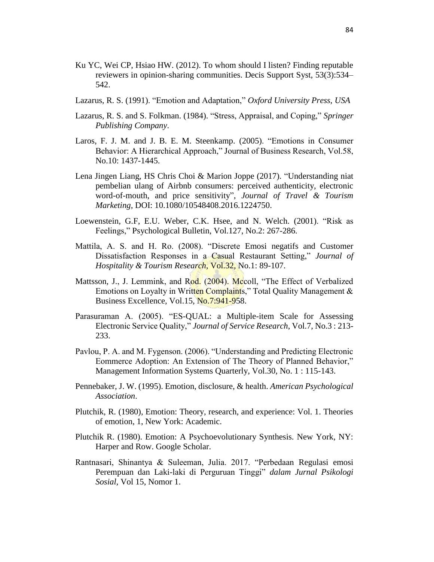- Ku YC, Wei CP, Hsiao HW. (2012). To whom should I listen? Finding reputable reviewers in opinion-sharing communities. Decis Support Syst, 53(3):534– 542.
- Lazarus, R. S. (1991). "Emotion and Adaptation," *Oxford University Press, USA*
- Lazarus, R. S. and S. Folkman. (1984). "Stress, Appraisal, and Coping," *Springer Publishing Company*.
- Laros, F. J. M. and J. B. E. M. Steenkamp. (2005). "Emotions in Consumer Behavior: A Hierarchical Approach," Journal of Business Research, Vol.58, No.10: 1437-1445.
- Lena Jingen Liang, HS Chris Choi & Marion Joppe (2017). "Understanding niat pembelian ulang of Airbnb consumers: perceived authenticity, electronic word-of-mouth, and price sensitivity", *Journal of Travel & Tourism Marketing,* DOI: 10.1080/10548408.2016.1224750.
- Loewenstein, G.F, E.U. Weber, C.K. Hsee, and N. Welch. (2001). "Risk as Feelings," Psychological Bulletin, Vol.127, No.2: 267-286.
- Mattila, A. S. and H. Ro. (2008). "Discrete Emosi negatifs and Customer Dissatisfaction Responses in a Casual Restaurant Setting," *Journal of Hospitality & Tourism Research*, Vol.32, No.1: 89-107.
- Mattsson, J., J. Lemmink, and Rod. (2004). Mccoll, "The Effect of Verbalized Emotions on Loyalty in Written Complaints," Total Quality Management & Business Excellence, Vol.15, No.7:941-958.
- Parasuraman A. (2005). "ES-QUAL: a Multiple-item Scale for Assessing Electronic Service Quality," *Journal of Service Research*, Vol.7, No.3 : 213- 233.
- Pavlou, P. A. and M. Fygenson. (2006). "Understanding and Predicting Electronic Eommerce Adoption: An Extension of The Theory of Planned Behavior," Management Information Systems Quarterly, Vol.30, No. 1 : 115-143.
- Pennebaker, J. W. (1995). Emotion, disclosure, & health. *American Psychological Association*.
- Plutchik, R. (1980), Emotion: Theory, research, and experience: Vol. 1. Theories of emotion, 1, New York: Academic.
- Plutchik R. (1980). Emotion: A Psychoevolutionary Synthesis. New York, NY: Harper and Row. Google Scholar.
- Rantnasari, Shinantya & Suleeman, Julia. 2017. "Perbedaan Regulasi emosi Perempuan dan Laki-laki di Perguruan Tinggi" *dalam Jurnal Psikologi Sosial,* Vol 15, Nomor 1.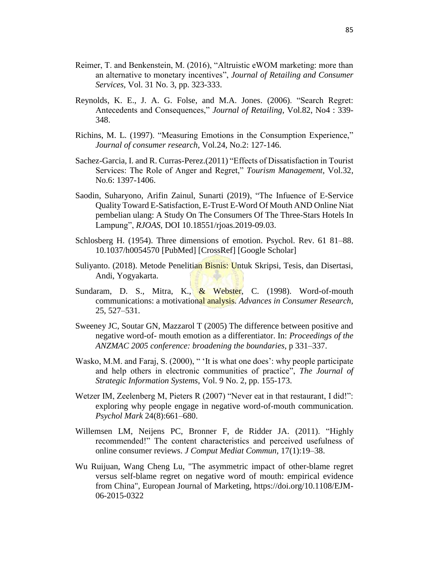- Reimer, T. and Benkenstein, M. (2016), "Altruistic eWOM marketing: more than an alternative to monetary incentives", *Journal of Retailing and Consumer Services*, Vol. 31 No. 3, pp. 323-333.
- Reynolds, K. E., J. A. G. Folse, and M.A. Jones. (2006). "Search Regret: Antecedents and Consequences," *Journal of Retailing*, Vol.82, No4 : 339- 348.
- Richins, M. L. (1997). "Measuring Emotions in the Consumption Experience," *Journal of consumer research*, Vol.24, No.2: 127-146.
- Sachez-Garcia, I. and R. Curras-Perez.(2011) "Effects of Dissatisfaction in Tourist Services: The Role of Anger and Regret," *Tourism Management*, Vol.32, No.6: 1397-1406.
- Saodin, Suharyono, Arifin Zainul, Sunarti (2019), "The Infuence of E-Service Quality Toward E-Satisfaction, E-Trust E-Word Of Mouth AND Online Niat pembelian ulang: A Study On The Consumers Of The Three-Stars Hotels In Lampung", *RJOAS,* DOI 10.18551/rjoas.2019-09.03.
- Schlosberg H. (1954). Three dimensions of emotion. Psychol. Rev. 61 81–88. 10.1037/h0054570 [PubMed] [CrossRef] [Google Scholar]
- Suliyanto. (2018). Metode Penelitian Bisnis: Untuk Skripsi, Tesis, dan Disertasi, Andi, Yogyakarta.
- Sundaram, D. S., Mitra, K., & Webster, C. (1998). Word-of-mouth communications: a motivational analysis. *Advances in Consumer Research*, 25, 527–531.
- Sweeney JC, Soutar GN, Mazzarol T (2005) The difference between positive and negative word-of- mouth emotion as a differentiator. In: *Proceedings of the ANZMAC 2005 conference: broadening the boundaries,* p 331–337.
- Wasko, M.M. and Faraj, S. (2000), " 'It is what one does': why people participate and help others in electronic communities of practice", *The Journal of Strategic Information Systems*, Vol. 9 No. 2, pp. 155-173.
- Wetzer IM, Zeelenberg M, Pieters R (2007) "Never eat in that restaurant, I did!": exploring why people engage in negative word-of-mouth communication. *Psychol Mark* 24(8):661–680.
- Willemsen LM, Neijens PC, Bronner F, de Ridder JA. (2011). "Highly recommended!" The content characteristics and perceived usefulness of online consumer reviews. *J Comput Mediat Commun,* 17(1):19–38.
- Wu Ruijuan, Wang Cheng Lu, "The asymmetric impact of other-blame regret versus self-blame regret on negative word of mouth: empirical evidence from China", European Journal of Marketing, https://doi.org/10.1108/EJM-06-2015-0322